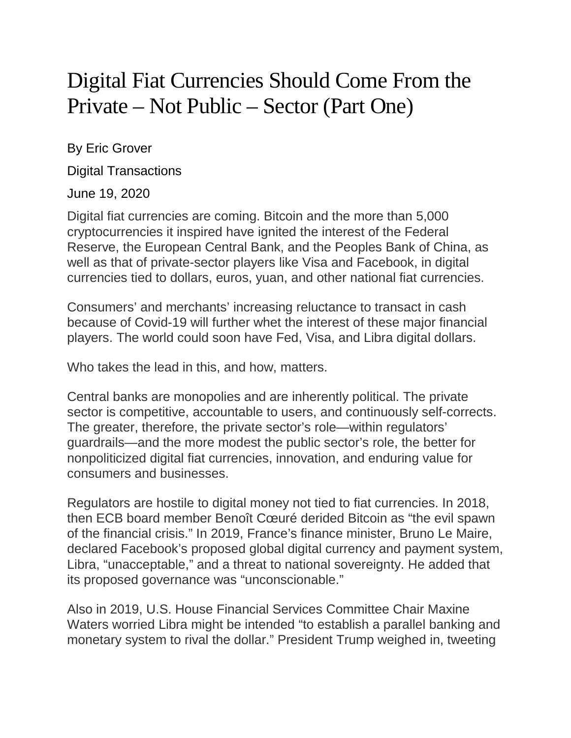## Digital Fiat Currencies Should Come From the Private – Not Public – Sector (Part One)

By Eric Grover

Digital Transactions

## June 19, 2020

Digital fiat currencies are coming. Bitcoin and the more than 5,000 cryptocurrencies it inspired have ignited the interest of the Federal Reserve, the European Central Bank, and the Peoples Bank of China, as well as that of private-sector players like Visa and Facebook, in digital currencies tied to dollars, euros, yuan, and other national fiat currencies.

Consumers' and merchants' increasing reluctance to transact in cash because of Covid-19 will further whet the interest of these major financial players. The world could soon have Fed, Visa, and Libra digital dollars.

Who takes the lead in this, and how, matters.

Central banks are monopolies and are inherently political. The private sector is competitive, accountable to users, and continuously self-corrects. The greater, therefore, the private sector's role—within regulators' guardrails—and the more modest the public sector's role, the better for nonpoliticized digital fiat currencies, innovation, and enduring value for consumers and businesses.

Regulators are hostile to digital money not tied to fiat currencies. In 2018, then ECB board member Benoît Cœuré derided Bitcoin as "the evil spawn of the financial crisis." In 2019, France's finance minister, Bruno Le Maire, declared Facebook's proposed global digital currency and payment system, Libra, "unacceptable," and a threat to national sovereignty. He added that its proposed governance was "unconscionable."

Also in 2019, U.S. House Financial Services Committee Chair Maxine Waters worried Libra might be intended "to establish a parallel banking and monetary system to rival the dollar." President Trump weighed in, tweeting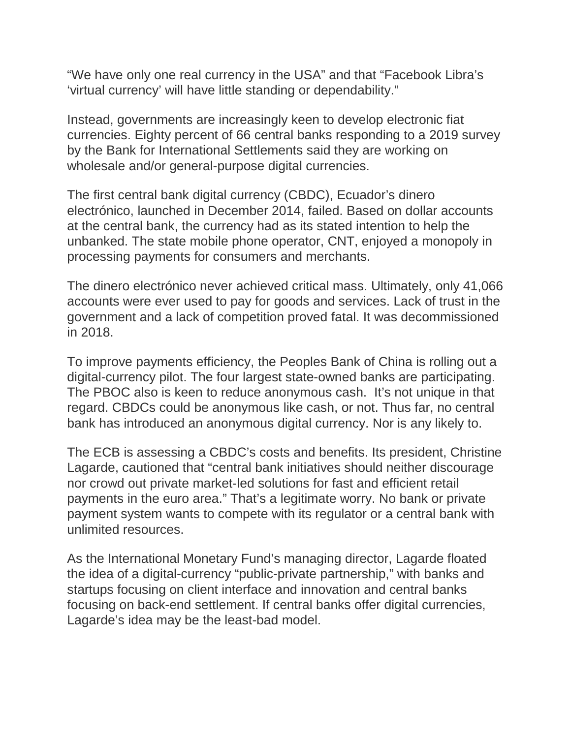"We have only one real currency in the USA" and that "Facebook Libra's 'virtual currency' will have little standing or dependability."

Instead, governments are increasingly keen to develop electronic fiat currencies. Eighty percent of 66 central banks responding to a 2019 survey by the Bank for International Settlements said they are working on wholesale and/or general-purpose digital currencies.

The first central bank digital currency (CBDC), Ecuador's dinero electrónico, launched in December 2014, failed. Based on dollar accounts at the central bank, the currency had as its stated intention to help the unbanked. The state mobile phone operator, CNT, enjoyed a monopoly in processing payments for consumers and merchants.

The dinero electrónico never achieved critical mass. Ultimately, only 41,066 accounts were ever used to pay for goods and services. Lack of trust in the government and a lack of competition proved fatal. It was decommissioned in 2018.

To improve payments efficiency, the Peoples Bank of China is rolling out a digital-currency pilot. The four largest state-owned banks are participating. The PBOC also is keen to reduce anonymous cash. It's not unique in that regard. CBDCs could be anonymous like cash, or not. Thus far, no central bank has introduced an anonymous digital currency. Nor is any likely to.

The ECB is assessing a CBDC's costs and benefits. Its president, Christine Lagarde, cautioned that "central bank initiatives should neither discourage nor crowd out private market-led solutions for fast and efficient retail payments in the euro area." That's a legitimate worry. No bank or private payment system wants to compete with its regulator or a central bank with unlimited resources.

As the International Monetary Fund's managing director, Lagarde floated the idea of a digital-currency "public-private partnership," with banks and startups focusing on client interface and innovation and central banks focusing on back-end settlement. If central banks offer digital currencies, Lagarde's idea may be the least-bad model.